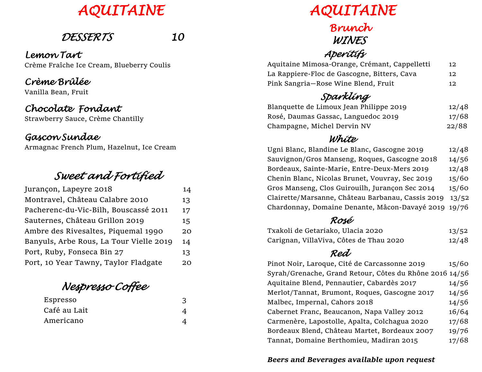

# *DESSERTS 10*

*Lemon Tart* Crème Fraîche Ice Cream, Blueberry Coulis

#### *Crème Brûlée*

Vanilla Bean, Fruit

#### *Chocolate Fondant*

Strawberry Sauce, Crème Chantilly

#### *Gascon Sundae*

Armagnac French Plum, Hazelnut, Ice Cream

# *Sweet and Fortified*

| Jurançon, Lapeyre 2018                  | 14 |
|-----------------------------------------|----|
| Montravel, Château Calabre 2010         | 13 |
| Pacherenc-du-Vic-Bilh, Bouscassé 2011   | 17 |
| Sauternes, Château Grillon 2019         | 15 |
| Ambre des Rivesaltes, Piquemal 1990     | 20 |
| Banyuls, Arbe Rous, La Tour Vielle 2019 | 14 |
| Port, Ruby, Fonseca Bin 27              | 13 |
| Port, 10 Year Tawny, Taylor Fladgate    | 20 |
|                                         |    |

 *Nespresso Coffee* 

| Espresso     |  |  |
|--------------|--|--|
| Café au Lait |  |  |
| Americano    |  |  |

 *AQUITAINE* 

#### *Brunch WINES Aperitifs*

| Aquitaine Mimosa-Orange, Crémant, Cappelletti | 12              |
|-----------------------------------------------|-----------------|
| La Rappiere-Floc de Gascogne, Bitters, Cava   | 12              |
| Pink Sangria-Rose Wine Blend, Fruit           | 12 <sub>1</sub> |

#### *Sparkling*

| Blanquette de Limoux Jean Philippe 2019 | 12/48 |
|-----------------------------------------|-------|
| Rosé, Daumas Gassac, Languedoc 2019     | 17/68 |
| Champagne, Michel Dervin NV             | 22/88 |

#### *White*

| Ugni Blanc, Blandine Le Blanc, Gascogne 2019         | 12/48 |
|------------------------------------------------------|-------|
| Sauvignon/Gros Manseng, Roques, Gascogne 2018        | 14/56 |
| Bordeaux, Sainte-Marie, Entre-Deux-Mers 2019         | 12/48 |
| Chenin Blanc, Nicolas Brunet, Vouvray, Sec 2019      | 15/60 |
| Gros Manseng, Clos Guirouilh, Jurançon Sec 2014      | 15/60 |
| Clairette/Marsanne, Château Barbanau, Cassis 2019    | 13/52 |
| Chardonnay, Domaine Denante, Mâcon-Davayé 2019 19/76 |       |

#### *Rosé*

| Txakoli de Getariako, Ulacia 2020       | 13/52 |
|-----------------------------------------|-------|
| Carignan, VillaViva, Côtes de Thau 2020 | 12/48 |

## *Red*

| Pinot Noir, Laroque, Cité de Carcassonne 2019           | 15/60 |
|---------------------------------------------------------|-------|
| Syrah/Grenache, Grand Retour, Côtes du Rhône 2016 14/56 |       |
| Aquitaine Blend, Pennautier, Cabardès 2017              | 14/56 |
| Merlot/Tannat, Brumont, Roques, Gascogne 2017           | 14/56 |
| Malbec, Impernal, Cahors 2018                           | 14/56 |
| Cabernet Franc, Beaucanon, Napa Valley 2012             | 16/64 |
| Carmenère, Lapostolle, Apalta, Colchagua 2020           | 17/68 |
| Bordeaux Blend, Château Martet, Bordeaux 2007           | 19/76 |
| Tannat, Domaine Berthomieu, Madiran 2015                | 17/68 |

#### *Beers and Beverages available upon request*